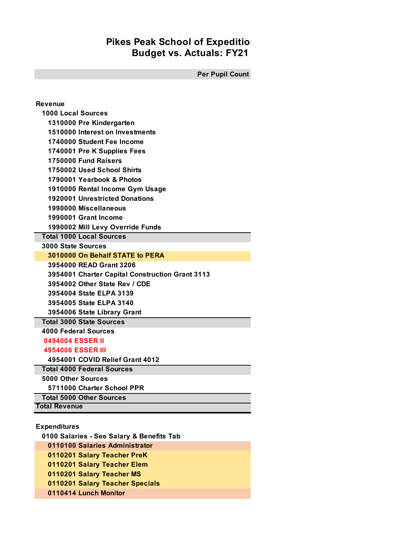## **Budget vs. Actuals: FY21 Pikes Peak School of Expedition**

**Per Pupil Count**

| Revenue                                         |
|-------------------------------------------------|
| <b>1000 Local Sources</b>                       |
| 1310000 Pre Kindergarten                        |
| 1510000 Interest on Investments                 |
| 1740000 Student Fee Income                      |
| 1740001 Pre K Supplies Fees                     |
| 1750000 Fund Raisers                            |
| 1750002 Used School Shirts                      |
| 1790001 Yearbook & Photos                       |
| 1910000 Rental Income Gym Usage                 |
| <b>1920001 Unrestricted Donations</b>           |
| 1990000 Miscellaneous                           |
| 1990001 Grant Income                            |
| 1990002 Mill Levy Override Funds                |
| <b>Total 1000 Local Sources</b>                 |
| <b>3000 State Sources</b>                       |
| 3010000 On Behalf STATE to PERA                 |
| 3954000 READ Grant 3206                         |
| 3954001 Charter Capital Construction Grant 3113 |
| 3954002 Other State Rev / CDE                   |
| 3954004 State ELPA 3139                         |
| 3954005 State ELPA 3140                         |
| 3954006 State Library Grant                     |
| <b>Total 3000 State Sources</b>                 |
| <b>4000 Federal Sources</b>                     |
| 0494004 ESSER II                                |
| <b>4954006 ESSER III</b>                        |
| 4954001 COVID Relief Grant 4012                 |
| <b>Total 4000 Federal Sources</b>               |
| 5000 Other Sources                              |
| 5711000 Charter School PPR                      |
| <b>Total 5000 Other Sources</b>                 |
| <b>Total Revenue</b>                            |
|                                                 |

**Expenditures**

 **0100 Salaries - See Salary & Benefits Tab 0110100 Salaries Administrator 0110201 Salary Teacher PreK 0110201 Salary Teacher Elem 0110201 Salary Teacher MS 0110201 Salary Teacher Specials 0110414 Lunch Monitor**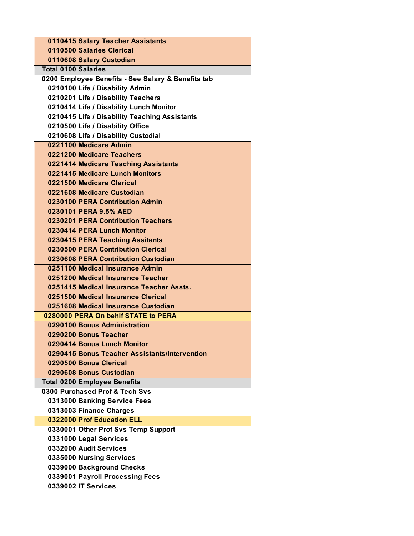| 0110415 Salary Teacher Assistants                  |
|----------------------------------------------------|
| 0110500 Salaries Clerical                          |
| 0110608 Salary Custodian                           |
| <b>Total 0100 Salaries</b>                         |
| 0200 Employee Benefits - See Salary & Benefits tab |
| 0210100 Life / Disability Admin                    |
| 0210201 Life / Disability Teachers                 |
| 0210414 Life / Disability Lunch Monitor            |
| 0210415 Life / Disability Teaching Assistants      |
| 0210500 Life / Disability Office                   |
| 0210608 Life / Disability Custodial                |
| 0221100 Medicare Admin                             |
| 0221200 Medicare Teachers                          |
| 0221414 Medicare Teaching Assistants               |
| 0221415 Medicare Lunch Monitors                    |
| 0221500 Medicare Clerical                          |
| 0221608 Medicare Custodian                         |
| 0230100 PERA Contribution Admin                    |
| 0230101 PERA 9.5% AED                              |
| 0230201 PERA Contribution Teachers                 |
| 0230414 PERA Lunch Monitor                         |
| 0230415 PERA Teaching Assitants                    |
| 0230500 PERA Contribution Clerical                 |
| 0230608 PERA Contribution Custodian                |
| 0251100 Medical Insurance Admin                    |
| 0251200 Medical Insurance Teacher                  |
| 0251415 Medical Insurance Teacher Assts.           |
| 0251500 Medical Insurance Clerical                 |
| 0251608 Medical Insurance Custodian                |
| 0280000 PERA On behlf STATE to PERA                |
| 0290100 Bonus Administration                       |
| 0290200 Bonus Teacher                              |
| 0290414 Bonus Lunch Monitor                        |
| 0290415 Bonus Teacher Assistants/Intervention      |
| 0290500 Bonus Clerical                             |
| 0290608 Bonus Custodian                            |
| <b>Total 0200 Employee Benefits</b>                |
| 0300 Purchased Prof & Tech Sys                     |
| 0313000 Banking Service Fees                       |
| 0313003 Finance Charges                            |
| 0322000 Prof Education ELL                         |
| 0330001 Other Prof Svs Temp Support                |
| 0331000 Legal Services                             |
| 0332000 Audit Services                             |
| 0335000 Nursing Services                           |
| 0339000 Background Checks                          |
| 0339001 Payroll Processing Fees                    |
| 0339002 IT Services                                |
|                                                    |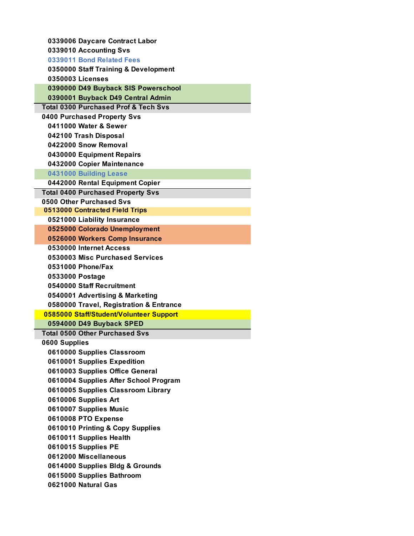| 0339006 Daycare Contract Labor                  |
|-------------------------------------------------|
| 0339010 Accounting Svs                          |
| 0339011 Bond Related Fees                       |
| 0350000 Staff Training & Development            |
| 0350003 Licenses                                |
| 0390000 D49 Buyback SIS Powerschool             |
| 0390001 Buyback D49 Central Admin               |
| <b>Total 0300 Purchased Prof &amp; Tech Svs</b> |
| 0400 Purchased Property Svs                     |
| 0411000 Water & Sewer                           |
| 042100 Trash Disposal                           |
| 0422000 Snow Removal                            |
| 0430000 Equipment Repairs                       |
| 0432000 Copier Maintenance                      |
| 0431000 Building Lease                          |
| 0442000 Rental Equipment Copier                 |
| <b>Total 0400 Purchased Property Svs</b>        |
| 0500 Other Purchased Svs                        |
| 0513000 Contracted Field Trips                  |
| 0521000 Liability Insurance                     |
| 0525000 Colorado Unemployment                   |
| 0526000 Workers Comp Insurance                  |
| 0530000 Internet Access                         |
| 0530003 Misc Purchased Services                 |
| 0531000 Phone/Fax                               |
| 0533000 Postage                                 |
| 0540000 Staff Recruitment                       |
| 0540001 Advertising & Marketing                 |
| 0580000 Travel, Registration & Entrance         |
| 0585000 Staff/Student/Volunteer Support         |
| 0594000 D49 Buyback SPED                        |
| <b>Total 0500 Other Purchased Svs</b>           |
| 0600 Supplies                                   |
| 0610000 Supplies Classroom                      |
| 0610001 Supplies Expedition                     |
| 0610003 Supplies Office General                 |
| 0610004 Supplies After School Program           |
| 0610005 Supplies Classroom Library              |
| 0610006 Supplies Art                            |
| 0610007 Supplies Music                          |
| 0610008 PTO Expense                             |
| 0610010 Printing & Copy Supplies                |
| 0610011 Supplies Health                         |
| 0610015 Supplies PE                             |
| 0612000 Miscellaneous                           |
| 0614000 Supplies Bldg & Grounds                 |
| 0615000 Supplies Bathroom                       |
| 0621000 Natural Gas                             |
|                                                 |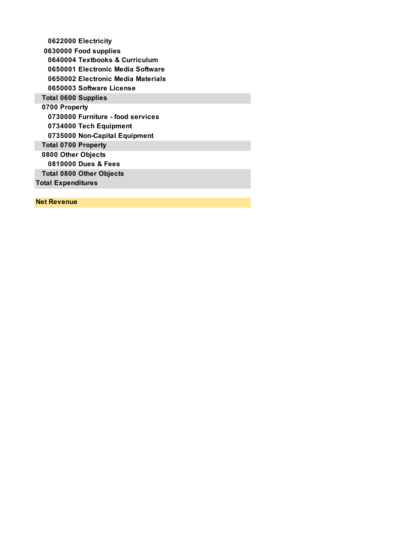| 0622000 Electricity                |
|------------------------------------|
| 0630000 Food supplies              |
| 0640004 Textbooks & Curriculum     |
| 0650001 Electronic Media Software  |
| 0650002 Electronic Media Materials |
| 0650003 Software License           |
| <b>Total 0600 Supplies</b>         |
| 0700 Property                      |
| 0730000 Furniture - food services  |
| 0734000 Tech Equipment             |
| 0735000 Non-Capital Equipment      |
| <b>Total 0700 Property</b>         |
| 0800 Other Objects                 |
| 0810000 Dues & Fees                |
| <b>Total 0800 Other Objects</b>    |
| <b>Total Expenditures</b>          |
|                                    |
| <b>Net Revenue</b>                 |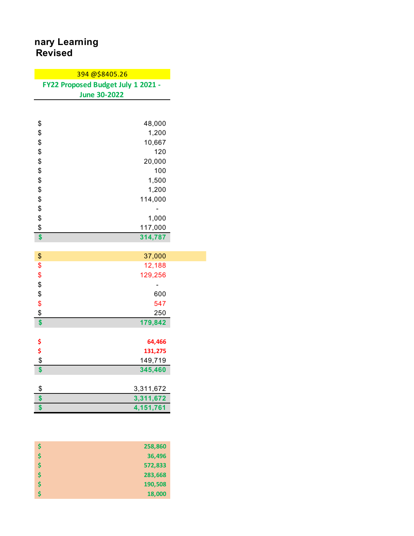## **Revised Pical School of Learning**

|                                           | 394@\$8405.26                      |
|-------------------------------------------|------------------------------------|
|                                           | FY22 Proposed Budget July 1 2021 - |
|                                           | <b>June 30-2022</b>                |
|                                           |                                    |
|                                           |                                    |
| \$                                        | 48,000                             |
| \$                                        | 1,200                              |
| \$                                        | 10,667                             |
| \$                                        | 120                                |
| \$                                        | 20,000                             |
| \$                                        | 100                                |
| \$                                        | 1,500                              |
| \$                                        | 1,200                              |
| \$                                        | 114,000                            |
| \$                                        |                                    |
| \$                                        | 1,000                              |
| \$                                        | 117,000                            |
| \$                                        | 314,787                            |
|                                           |                                    |
| \$                                        | 37,000                             |
| \$                                        | 12,188                             |
| \$                                        | 129,256                            |
| \$                                        |                                    |
| \$                                        | 600                                |
| \$                                        | 547                                |
| $\frac{1}{2}$                             | 250                                |
| \$                                        | 179,842                            |
|                                           |                                    |
| $\begin{array}{c}\n 5 \\ 6\n \end{array}$ | 64,466                             |
|                                           | 131,275                            |
|                                           | 149,719                            |
| \$                                        | 345,460                            |
|                                           |                                    |
| \$                                        | 3,311,672                          |
| \$                                        | 3,311,672                          |
| \$                                        | 4,151,761                          |

| Ŝ  | 258,860 |
|----|---------|
| Ś  | 36,496  |
| \$ | 572,833 |
| \$ | 283,668 |
| \$ | 190,508 |
| Ś  | 18,000  |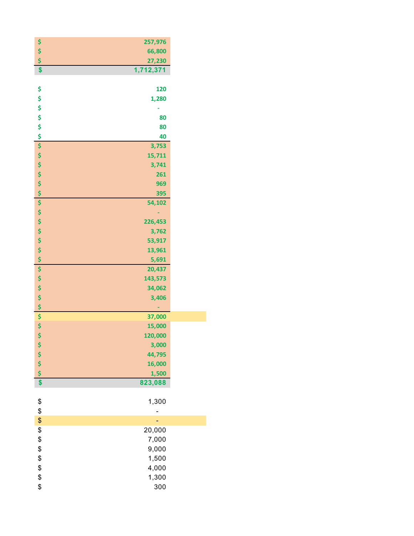| \$               | 257,976   |  |
|------------------|-----------|--|
| \$\$             | 66,800    |  |
|                  | 27,230    |  |
| \$               | 1,712,371 |  |
|                  |           |  |
| \$               | 120       |  |
| \$               | 1,280     |  |
|                  |           |  |
|                  | 80        |  |
|                  | 80        |  |
| \$\$\$           | 40        |  |
|                  | 3,753     |  |
| <b>SSSSS</b>     | 15,711    |  |
|                  | 3,741     |  |
|                  | 261       |  |
|                  | 969       |  |
|                  | 395       |  |
|                  | 54,102    |  |
|                  |           |  |
| \$\$\$\$         | 226,453   |  |
|                  | 3,762     |  |
|                  | 53,917    |  |
| \$               | 13,961    |  |
| \$               | 5,691     |  |
| \$               | 20,437    |  |
|                  | 143,573   |  |
| \$\$\$           | 34,062    |  |
|                  | 3,406     |  |
| \$               |           |  |
| \$               | 37,000    |  |
| \$               | 15,000    |  |
| \$               | 120,000   |  |
| \$               | 3,000     |  |
|                  | 44,795    |  |
|                  | 16,000    |  |
| \$\$\$           | 1,500     |  |
| \$               | 823,088   |  |
|                  |           |  |
| \$               | 1,300     |  |
| $\frac{1}{2}$    |           |  |
| \$               |           |  |
|                  | 20,000    |  |
|                  | 7,000     |  |
|                  |           |  |
|                  | 9,000     |  |
| \$\$\$\$\$\$\$\$ | 1,500     |  |
|                  | 4,000     |  |
|                  | 1,300     |  |
|                  | 300       |  |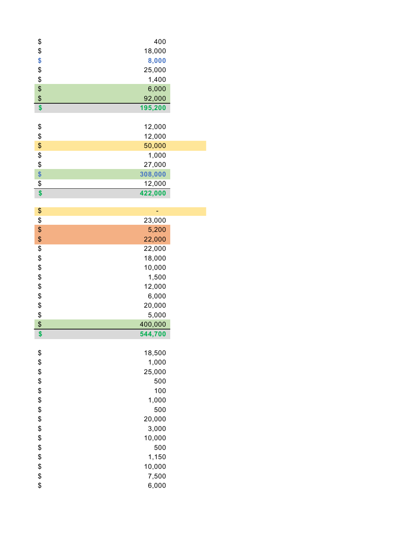| \$                | 400     |
|-------------------|---------|
| \$                | 18,000  |
| \$                | 8,000   |
| \$                | 25,000  |
| $\frac{1}{2}$     | 1,400   |
| \$                | 6,000   |
| \$                | 92,000  |
| \$                | 195,200 |
|                   |         |
| \$                | 12,000  |
| \$                | 12,000  |
| \$                | 50,000  |
| \$                | 1,000   |
| \$                | 27,000  |
| \$                | 308,000 |
| \$                |         |
|                   | 12,000  |
| \$                | 422,000 |
|                   |         |
| $\boldsymbol{\$}$ | ÷       |
| \$                | 23,000  |
| \$                | 5,200   |
| \$                | 22,000  |
| \$                | 22,000  |
| \$                | 18,000  |
| \$                | 10,000  |
| \$                | 1,500   |
| \$                | 12,000  |
| \$                | 6,000   |
| \$                | 20,000  |
| \$                | 5,000   |
| \$                | 400,000 |
| \$                | 544,700 |
|                   |         |
|                   |         |
| \$                | 18,500  |
| \$                | 1,000   |
| \$                | 25,000  |
|                   | 500     |
| \$                | $100\,$ |
| \$                | 1,000   |
| \$                | 500     |
| \$                | 20,000  |
|                   | 3,000   |
| $\frac{6}{3}$     | 10,000  |
| \$                | 500     |
| \$                | 1,150   |
| \$                | 10,000  |
| \$                | 7,500   |
| \$                | 6,000   |
|                   |         |